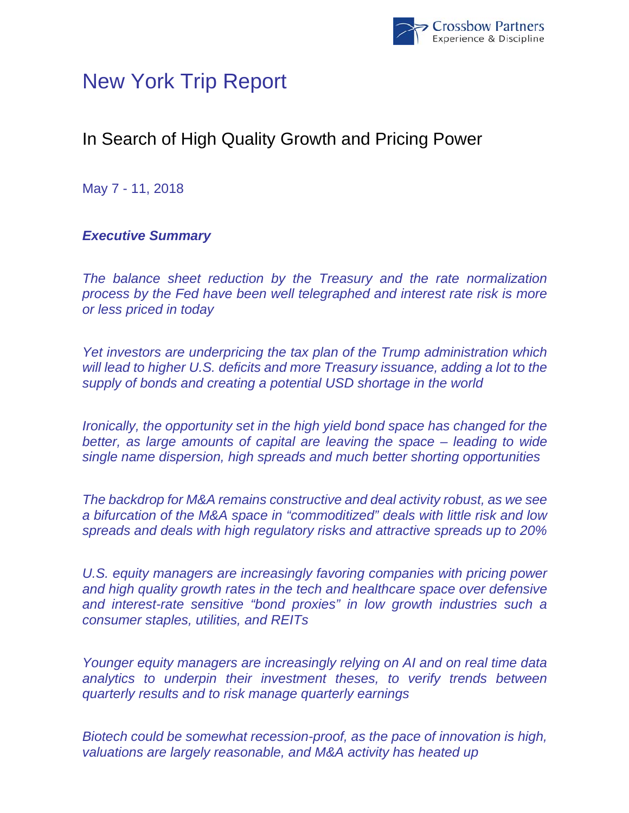

# New York Trip Report

## In Search of High Quality Growth and Pricing Power

May 7 - 11, 2018

## *Executive Summary*

*The balance sheet reduction by the Treasury and the rate normalization process by the Fed have been well telegraphed and interest rate risk is more or less priced in today* 

*Yet investors are underpricing the tax plan of the Trump administration which will lead to higher U.S. deficits and more Treasury issuance, adding a lot to the supply of bonds and creating a potential USD shortage in the world* 

*Ironically, the opportunity set in the high yield bond space has changed for the better, as large amounts of capital are leaving the space – leading to wide single name dispersion, high spreads and much better shorting opportunities* 

*The backdrop for M&A remains constructive and deal activity robust, as we see a bifurcation of the M&A space in "commoditized" deals with little risk and low spreads and deals with high regulatory risks and attractive spreads up to 20%* 

U.S. equity managers are increasingly favoring companies with pricing power *and high quality growth rates in the tech and healthcare space over defensive and interest-rate sensitive "bond proxies" in low growth industries such a consumer staples, utilities, and REITs* 

*Younger equity managers are increasingly relying on AI and on real time data analytics to underpin their investment theses, to verify trends between quarterly results and to risk manage quarterly earnings* 

*Biotech could be somewhat recession-proof, as the pace of innovation is high, valuations are largely reasonable, and M&A activity has heated up*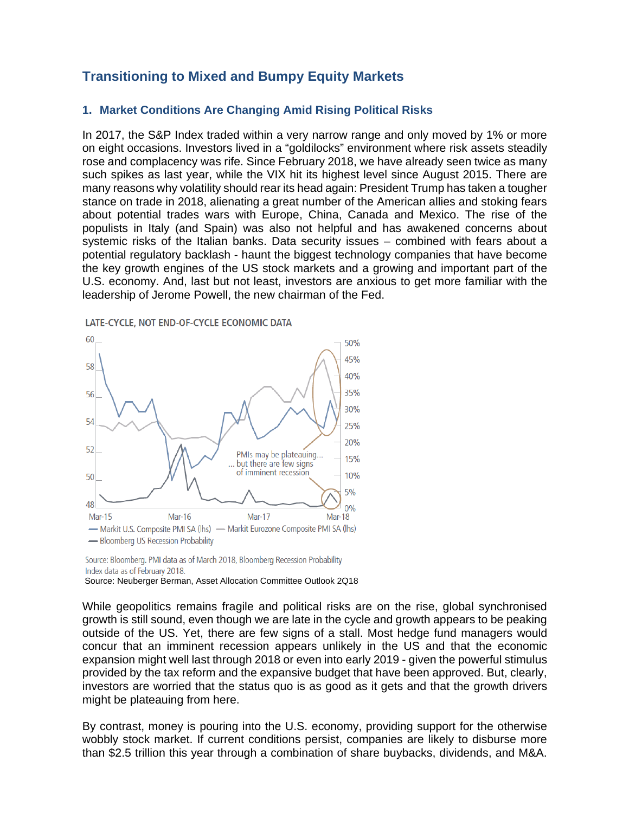### **Transitioning to Mixed and Bumpy Equity Markets**

#### **1. Market Conditions Are Changing Amid Rising Political Risks**

In 2017, the S&P Index traded within a very narrow range and only moved by 1% or more on eight occasions. Investors lived in a "goldilocks" environment where risk assets steadily rose and complacency was rife. Since February 2018, we have already seen twice as many such spikes as last year, while the VIX hit its highest level since August 2015. There are many reasons why volatility should rear its head again: President Trump has taken a tougher stance on trade in 2018, alienating a great number of the American allies and stoking fears about potential trades wars with Europe, China, Canada and Mexico. The rise of the populists in Italy (and Spain) was also not helpful and has awakened concerns about systemic risks of the Italian banks. Data security issues – combined with fears about a potential regulatory backlash - haunt the biggest technology companies that have become the key growth engines of the US stock markets and a growing and important part of the U.S. economy. And, last but not least, investors are anxious to get more familiar with the leadership of Jerome Powell, the new chairman of the Fed.





Source: Bloomberg. PMI data as of March 2018, Bloomberg Recession Probability Index data as of February 2018.

Source: Neuberger Berman, Asset Allocation Committee Outlook 2Q18

While geopolitics remains fragile and political risks are on the rise, global synchronised growth is still sound, even though we are late in the cycle and growth appears to be peaking outside of the US. Yet, there are few signs of a stall. Most hedge fund managers would concur that an imminent recession appears unlikely in the US and that the economic expansion might well last through 2018 or even into early 2019 - given the powerful stimulus provided by the tax reform and the expansive budget that have been approved. But, clearly, investors are worried that the status quo is as good as it gets and that the growth drivers might be plateauing from here.

By contrast, money is pouring into the U.S. economy, providing support for the otherwise wobbly stock market. If current conditions persist, companies are likely to disburse more than \$2.5 trillion this year through a combination of share buybacks, dividends, and M&A.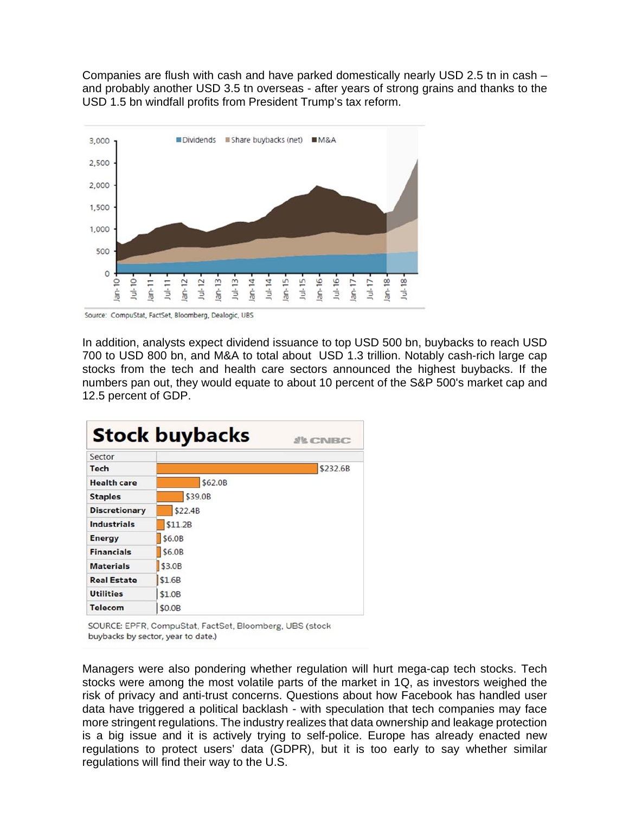Companies are flush with cash and have parked domestically nearly USD 2.5 tn in cash – and probably another USD 3.5 tn overseas - after years of strong grains and thanks to the USD 1.5 bn windfall profits from President Trump's tax reform.



Source: CompuStat, FactSet, Bloomberg, Dealogic, UBS

In addition, analysts expect dividend issuance to top USD 500 bn, buybacks to reach USD 700 to USD 800 bn, and M&A to total about USD 1.3 trillion. Notably cash-rich large cap stocks from the tech and health care sectors announced the highest buybacks. If the numbers pan out, they would equate to about 10 percent of the S&P 500's market cap and 12.5 percent of GDP.

| <b>Stock buybacks</b><br><b><i>SECNBC</i></b> |         |          |  |  |  |
|-----------------------------------------------|---------|----------|--|--|--|
| Sector                                        |         |          |  |  |  |
| <b>Tech</b>                                   |         | \$232.6B |  |  |  |
| <b>Health care</b>                            | \$62.0B |          |  |  |  |
| <b>Staples</b>                                | \$39.0B |          |  |  |  |
| <b>Discretionary</b>                          | \$22.4B |          |  |  |  |
| <b>Industrials</b>                            | \$11.2B |          |  |  |  |
| <b>Energy</b>                                 | \$6.0B  |          |  |  |  |
| <b>Financials</b>                             | \$6.0B  |          |  |  |  |
| <b>Materials</b>                              | \$3.0B  |          |  |  |  |
| <b>Real Estate</b>                            | \$1.6B  |          |  |  |  |
| <b>Utilities</b>                              | \$1.0B  |          |  |  |  |
| <b>Telecom</b>                                | \$0.0B  |          |  |  |  |

SOURCE: EPFR, CompuStat, FactSet, Bloomberg, UBS (stock buybacks by sector, year to date.)

Managers were also pondering whether regulation will hurt mega-cap tech stocks. Tech stocks were among the most volatile parts of the market in 1Q, as investors weighed the risk of privacy and anti-trust concerns. Questions about how Facebook has handled user data have triggered a political backlash - with speculation that tech companies may face more stringent regulations. The industry realizes that data ownership and leakage protection is a big issue and it is actively trying to self-police. Europe has already enacted new regulations to protect users' data (GDPR), but it is too early to say whether similar regulations will find their way to the U.S.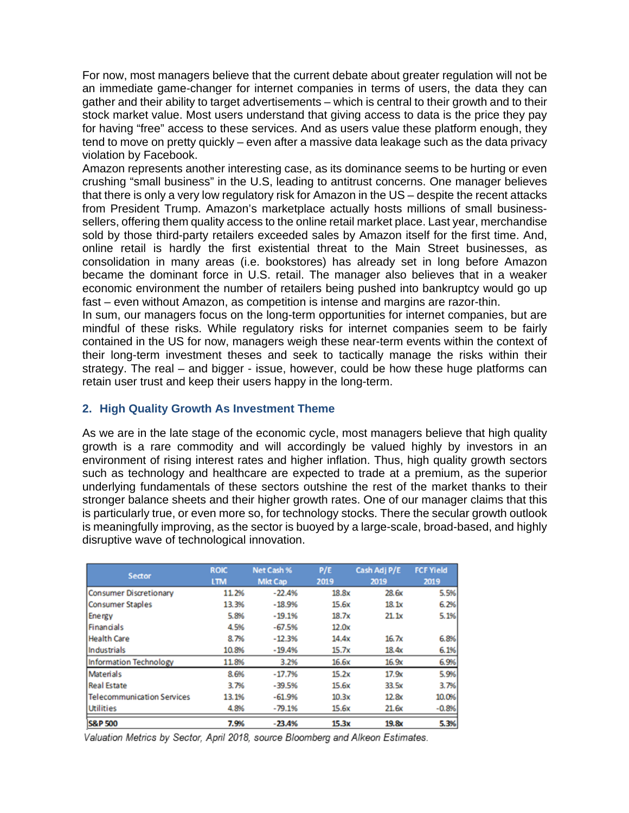For now, most managers believe that the current debate about greater regulation will not be an immediate game-changer for internet companies in terms of users, the data they can gather and their ability to target advertisements – which is central to their growth and to their stock market value. Most users understand that giving access to data is the price they pay for having "free" access to these services. And as users value these platform enough, they tend to move on pretty quickly – even after a massive data leakage such as the data privacy violation by Facebook.

Amazon represents another interesting case, as its dominance seems to be hurting or even crushing "small business" in the U.S, leading to antitrust concerns. One manager believes that there is only a very low regulatory risk for Amazon in the US – despite the recent attacks from President Trump. Amazon's marketplace actually hosts millions of small businesssellers, offering them quality access to the online retail market place. Last year, merchandise sold by those third-party retailers exceeded sales by Amazon itself for the first time. And, online retail is hardly the first existential threat to the Main Street businesses, as consolidation in many areas (i.e. bookstores) has already set in long before Amazon became the dominant force in U.S. retail. The manager also believes that in a weaker economic environment the number of retailers being pushed into bankruptcy would go up fast – even without Amazon, as competition is intense and margins are razor-thin.

In sum, our managers focus on the long-term opportunities for internet companies, but are mindful of these risks. While regulatory risks for internet companies seem to be fairly contained in the US for now, managers weigh these near-term events within the context of their long-term investment theses and seek to tactically manage the risks within their strategy. The real – and bigger - issue, however, could be how these huge platforms can retain user trust and keep their users happy in the long-term.

#### **2. High Quality Growth As Investment Theme**

As we are in the late stage of the economic cycle, most managers believe that high quality growth is a rare commodity and will accordingly be valued highly by investors in an environment of rising interest rates and higher inflation. Thus, high quality growth sectors such as technology and healthcare are expected to trade at a premium, as the superior underlying fundamentals of these sectors outshine the rest of the market thanks to their stronger balance sheets and their higher growth rates. One of our manager claims that this is particularly true, or even more so, for technology stocks. There the secular growth outlook is meaningfully improving, as the sector is buoyed by a large-scale, broad-based, and highly disruptive wave of technological innovation.

| <b>Sector</b>                     | <b>ROIC</b><br><b>LTM</b> | Net Cash %<br><b>Mkt Cap</b> | P/E<br>2019 | Cash Adj P/E<br>2019 | <b>FCF Yield</b><br>2019 |
|-----------------------------------|---------------------------|------------------------------|-------------|----------------------|--------------------------|
| Consumer Discretionary            | 11.2%                     | $-22.4%$                     | 18.8x       | 28.6x                | 5.5%                     |
| <b>Consumer Staples</b>           | 13.3%                     | $-18.9%$                     | 15.6x       | 18.1x                | 6.2%                     |
| Energy                            | 5.8%                      | $-19.1%$                     | 18.7x       | 21.1x                | 5.1%                     |
| Financials                        | 4.5%                      | $-67.5%$                     | 12.0x       |                      |                          |
| <b>Health Care</b>                | 8.7%                      | $-12.3%$                     | 14.4x       | 16.7x                | 6.8%                     |
| <b>Industrials</b>                | 10.8%                     | $-19.4%$                     | 15.7x       | 18.4x                | 6.1%                     |
| Information Technology            | 11.8%                     | 3.2%                         | 16.6x       | 16.9x                | 6.9%                     |
| <b>Materials</b>                  | 8.6%                      | $-17.7%$                     | 15.2x       | 17.9x                | 5.9%                     |
| <b>Real Estate</b>                | 3.7%                      | $-39.5%$                     | 15.6x       | 33.5x                | 3.7%                     |
| <b>Telecommunication Services</b> | 13.1%                     | $-61.9%$                     | 10.3x       | 12.8x                | 10.0%                    |
| Utilities                         | 4.8%                      | $-79.1%$                     | 15.6x       | 21.6x                | $-0.8%$                  |
| <b>S&amp;P 500</b>                | 7.9%                      | $-23.4%$                     | 15.3x       | 19.8x                | 5.3%                     |

Valuation Metrics by Sector, April 2018, source Bloomberg and Alkeon Estimates.